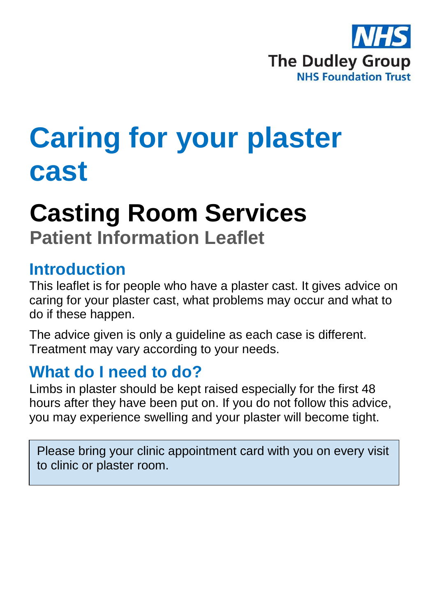

# **Caring for your plaster cast**

# **Casting Room Services Patient Information Leaflet**

## **Introduction**

This leaflet is for people who have a plaster cast. It gives advice on caring for your plaster cast, what problems may occur and what to do if these happen.

The advice given is only a guideline as each case is different. Treatment may vary according to your needs.

## **What do I need to do?**

Limbs in plaster should be kept raised especially for the first 48 hours after they have been put on. If you do not follow this advice, you may experience swelling and your plaster will become tight.

Please bring your clinic appointment card with you on every visit to clinic or plaster room.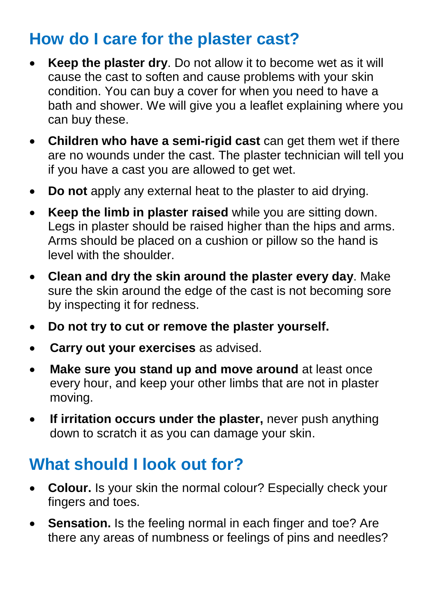## **How do I care for the plaster cast?**

- **Keep the plaster dry**. Do not allow it to become wet as it will cause the cast to soften and cause problems with your skin condition. You can buy a cover for when you need to have a bath and shower. We will give you a leaflet explaining where you can buy these.
- **Children who have a semi-rigid cast** can get them wet if there are no wounds under the cast. The plaster technician will tell you if you have a cast you are allowed to get wet.
- **Do not** apply any external heat to the plaster to aid drying.
- **Keep the limb in plaster raised** while you are sitting down. Legs in plaster should be raised higher than the hips and arms. Arms should be placed on a cushion or pillow so the hand is level with the shoulder.
- **Clean and dry the skin around the plaster every day**. Make sure the skin around the edge of the cast is not becoming sore by inspecting it for redness.
- **Do not try to cut or remove the plaster yourself.**
- **Carry out your exercises** as advised.
- **Make sure you stand up and move around** at least once every hour, and keep your other limbs that are not in plaster moving.
- If irritation occurs under the plaster, never push anything down to scratch it as you can damage your skin.

# **What should I look out for?**

- **Colour.** Is your skin the normal colour? Especially check your fingers and toes.
- **Sensation.** Is the feeling normal in each finger and toe? Are there any areas of numbness or feelings of pins and needles?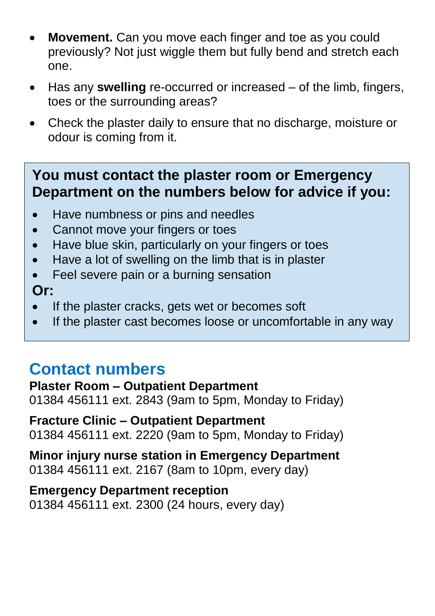- **Movement.** Can you move each finger and toe as you could previously? Not just wiggle them but fully bend and stretch each one.
- Has any **swelling** re-occurred or increased of the limb, fingers, toes or the surrounding areas?
- Check the plaster daily to ensure that no discharge, moisture or odour is coming from it.

## **You must contact the plaster room or Emergency Department on the numbers below for advice if you:**

- Have numbness or pins and needles
- Cannot move your fingers or toes
- Have blue skin, particularly on your fingers or toes
- Have a lot of swelling on the limb that is in plaster
- Feel severe pain or a burning sensation

## **Or:**

- If the plaster cracks, gets wet or becomes soft
- If the plaster cast becomes loose or uncomfortable in any way

## **Contact numbers**

#### **Plaster Room – Outpatient Department**

01384 456111 ext. 2843 (9am to 5pm, Monday to Friday)

#### **Fracture Clinic – Outpatient Department** 01384 456111 ext. 2220 (9am to 5pm, Monday to Friday)

**Minor injury nurse station in Emergency Department** 01384 456111 ext. 2167 (8am to 10pm, every day)

## **Emergency Department reception**

01384 456111 ext. 2300 (24 hours, every day)